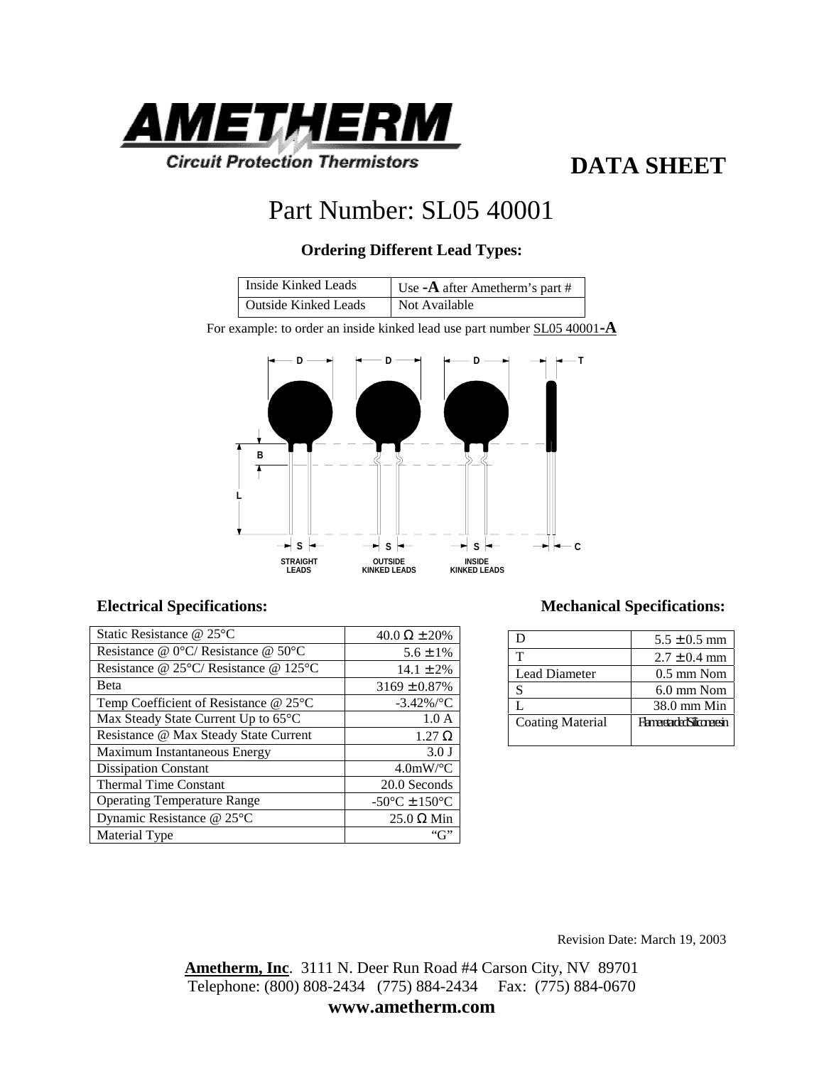

## **DATA SHEET**

# Part Number: SL05 40001

### **Ordering Different Lead Types:**

| Inside Kinked Leads  | Use - $\bf{A}$ after Ametherm's part # |
|----------------------|----------------------------------------|
| Outside Kinked Leads | Not Available                          |

For example: to order an inside kinked lead use part number SL05 40001**-A**



| Static Resistance @ 25°C                                 | 40.0 $\Omega \pm 20\%$                              |
|----------------------------------------------------------|-----------------------------------------------------|
| Resistance @ $0^{\circ}$ C/ Resistance @ 50 $^{\circ}$ C | $5.6 \pm 1\%$                                       |
| Resistance @ 25°C/Resistance @ 125°C                     | $14.1 \pm 2\%$                                      |
| <b>B</b> eta                                             | $3169 \pm 0.87\%$                                   |
| Temp Coefficient of Resistance $@25°C$                   | $-3.42\%$ /°C                                       |
| Max Steady State Current Up to 65°C                      | 1.0A                                                |
| Resistance @ Max Steady State Current                    | $1.27 \Omega$                                       |
| Maximum Instantaneous Energy                             | $3.0$ J                                             |
| <b>Dissipation Constant</b>                              | $4.0$ mW/°C                                         |
| <b>Thermal Time Constant</b>                             | 20.0 Seconds                                        |
| <b>Operating Temperature Range</b>                       | -50 $\mathrm{^{\circ}C}$ ± 150 $\mathrm{^{\circ}C}$ |
| Dynamic Resistance @ 25°C                                | $25.0 \Omega$ Min                                   |
| Material Type                                            |                                                     |

#### **Electrical Specifications: Mechanical Specifications:**

| I)                      | $5.5 \pm 0.5$ mm                   |
|-------------------------|------------------------------------|
| т                       | $2.7 \pm 0.4$ mm                   |
| <b>Lead Diameter</b>    | $0.5 \text{ mm}$ Nom               |
| S                       | $6.0 \text{ mm}$ Nom               |
|                         | $38.0$ mm Min                      |
| <b>Coating Material</b> | <b>Flameretarder/Siliconeresin</b> |
|                         |                                    |

Revision Date: March 19, 2003

**Ametherm, Inc**. 3111 N. Deer Run Road #4 Carson City, NV 89701 Telephone: (800) 808-2434 (775) 884-2434 Fax: (775) 884-0670 **www.ametherm.com**